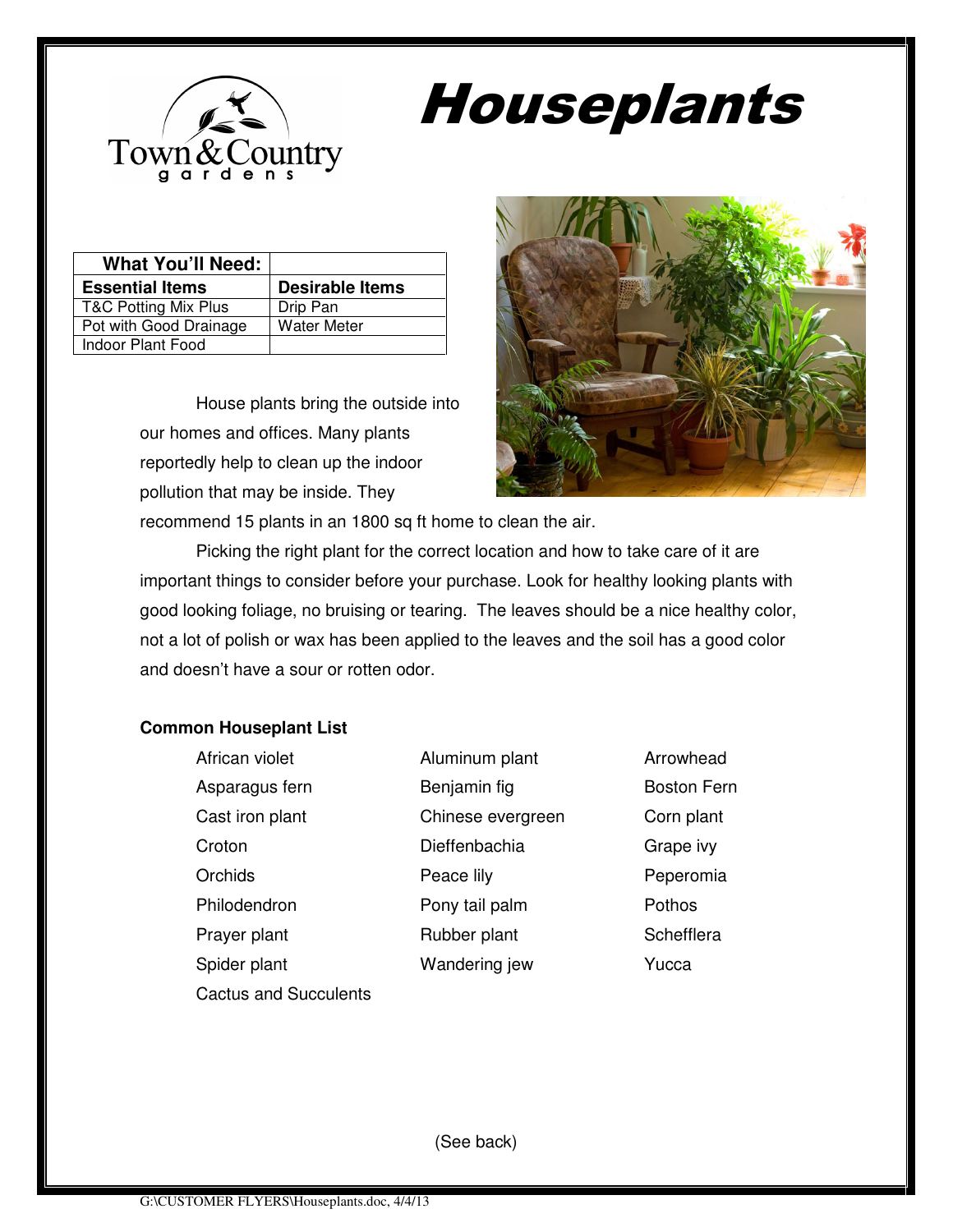

## Houseplants

| <b>What You'll Need:</b> |                        |
|--------------------------|------------------------|
| <b>Essential Items</b>   | <b>Desirable Items</b> |
| T&C Potting Mix Plus     | Drip Pan               |
| Pot with Good Drainage   | <b>Water Meter</b>     |
| Indoor Plant Food        |                        |

House plants bring the outside into our homes and offices. Many plants reportedly help to clean up the indoor pollution that may be inside. They



recommend 15 plants in an 1800 sq ft home to clean the air. Picking the right plant for the correct location and how to take care of it are

important things to consider before your purchase. Look for healthy looking plants with good looking foliage, no bruising or tearing. The leaves should be a nice healthy color, not a lot of polish or wax has been applied to the leaves and the soil has a good color and doesn't have a sour or rotten odor.

## **Common Houseplant List**

| African violet               |   |
|------------------------------|---|
| Asparagus fern               |   |
| Cast iron plant              | ٢ |
| Croton                       | Г |
| Orchids                      | F |
| Philodendron                 | F |
| Prayer plant                 | F |
| Spider plant                 | v |
| <b>Cactus and Succulents</b> |   |

Aluminum plant Arrowhead Benjamin fig Boston Fern Chinese evergreen Corn plant Dieffenbachia Grape ivy Peace lily **Peace lily** Peperomia Pony tail palm Pothos Prayer plant Rubber plant Schefflera Vandering jew Yucca

(See back)